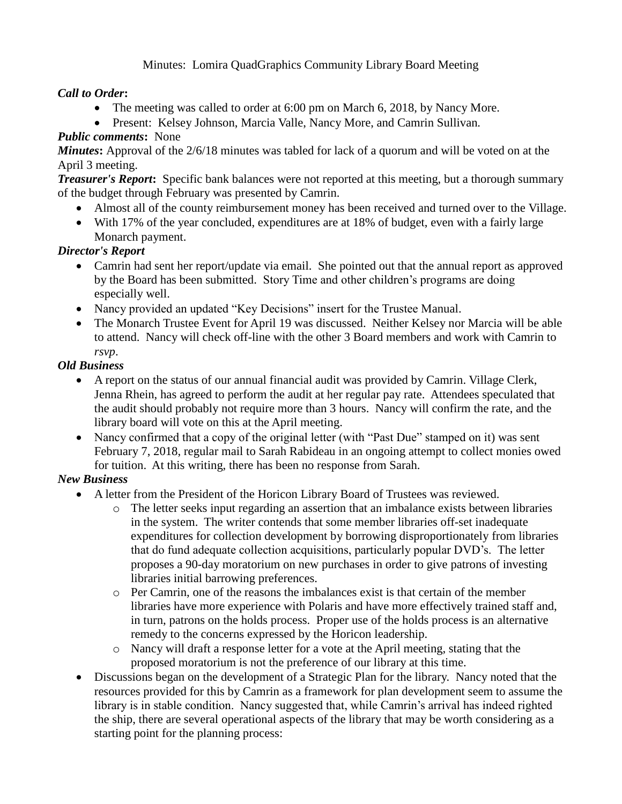# Minutes: Lomira QuadGraphics Community Library Board Meeting

### *Call to Order***:**

- The meeting was called to order at 6:00 pm on March 6, 2018, by Nancy More.
- Present: Kelsey Johnson, Marcia Valle, Nancy More, and Camrin Sullivan*.*

# *Public comments***:** None

*Minutes*: Approval of the 2/6/18 minutes was tabled for lack of a quorum and will be voted on at the April 3 meeting.

*Treasurer's Report***:** Specific bank balances were not reported at this meeting, but a thorough summary of the budget through February was presented by Camrin.

- Almost all of the county reimbursement money has been received and turned over to the Village.
- With 17% of the year concluded, expenditures are at 18% of budget, even with a fairly large Monarch payment.

### *Director's Report*

- Camrin had sent her report/update via email. She pointed out that the annual report as approved by the Board has been submitted. Story Time and other children's programs are doing especially well.
- Nancy provided an updated "Key Decisions" insert for the Trustee Manual.
- The Monarch Trustee Event for April 19 was discussed. Neither Kelsey nor Marcia will be able to attend. Nancy will check off-line with the other 3 Board members and work with Camrin to *rsvp*.

### *Old Business*

- A report on the status of our annual financial audit was provided by Camrin. Village Clerk, Jenna Rhein, has agreed to perform the audit at her regular pay rate. Attendees speculated that the audit should probably not require more than 3 hours. Nancy will confirm the rate, and the library board will vote on this at the April meeting.
- Nancy confirmed that a copy of the original letter (with "Past Due" stamped on it) was sent February 7, 2018, regular mail to Sarah Rabideau in an ongoing attempt to collect monies owed for tuition. At this writing, there has been no response from Sarah.

# *New Business*

- A letter from the President of the Horicon Library Board of Trustees was reviewed.
	- o The letter seeks input regarding an assertion that an imbalance exists between libraries in the system. The writer contends that some member libraries off-set inadequate expenditures for collection development by borrowing disproportionately from libraries that do fund adequate collection acquisitions, particularly popular DVD's. The letter proposes a 90-day moratorium on new purchases in order to give patrons of investing libraries initial barrowing preferences.
	- o Per Camrin, one of the reasons the imbalances exist is that certain of the member libraries have more experience with Polaris and have more effectively trained staff and, in turn, patrons on the holds process. Proper use of the holds process is an alternative remedy to the concerns expressed by the Horicon leadership.
	- o Nancy will draft a response letter for a vote at the April meeting, stating that the proposed moratorium is not the preference of our library at this time.
- Discussions began on the development of a Strategic Plan for the library. Nancy noted that the resources provided for this by Camrin as a framework for plan development seem to assume the library is in stable condition. Nancy suggested that, while Camrin's arrival has indeed righted the ship, there are several operational aspects of the library that may be worth considering as a starting point for the planning process: